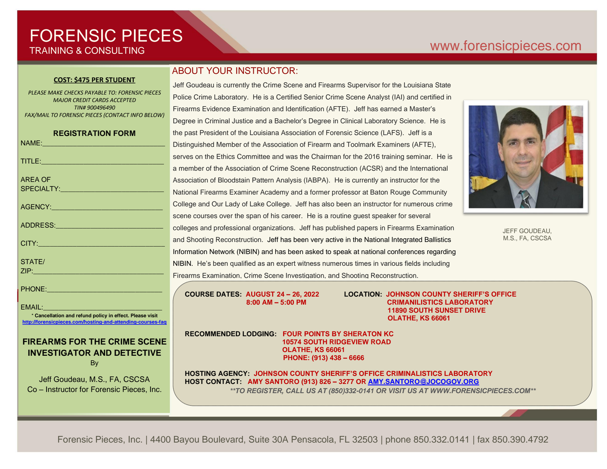# FORENSIC PIECES TRAINING & CONSULTING

## [www.forensicp](http://www.forensic/)ieces.com

#### **COST: \$475 PER STUDENT**

*PLEASE MAKE CHECKS PAYABLE TO: FORENSIC PIECES MAJOR CREDIT CARDS ACCEPTED TIN# 900496490 FAX/MAIL TO FORENSIC PIECES (CONTACT INFO BELOW)*

| <b>REGISTRATION FORM</b>                                                                                                         |
|----------------------------------------------------------------------------------------------------------------------------------|
| NAME: 2008 - 2008 - 2009 - 2009 - 2010 - 2010 - 2010 - 2010 - 2010 - 2010 - 2010 - 2010 - 2010 - 2010 - 2010 -                   |
|                                                                                                                                  |
| <b>AREA OF</b>                                                                                                                   |
| AGENCY: ACCEPTED AND ACCEPTANCE                                                                                                  |
|                                                                                                                                  |
| CITY: <b>CITY:</b>                                                                                                               |
| STATE/<br><b>ZIP:</b> And the second contract of the second contract of the second contract of the second contract of the second |
| PHONE: ________________________________                                                                                          |

EMAIL: \* **Cancellation and refund policy in effect. Please visit** 

#### **<http://forensicpieces.com/hosting-and-attending-courses-faq>**

#### **FIREARMS FOR THE CRIME SCENE INVESTIGATOR AND DETECTIVE** By

Jeff Goudeau, M.S., FA, CSCSA Co – Instructor for Forensic Pieces, Inc.

### ABOUT YOUR INSTRUCTOR:

Jeff Goudeau is currently the Crime Scene and Firearms Supervisor for the Louisiana State Police Crime Laboratory. He is a Certified Senior Crime Scene Analyst (IAI) and certified in Firearms Evidence Examination and Identification (AFTE). Jeff has earned a Master's Degree in Criminal Justice and a Bachelor's Degree in Clinical Laboratory Science. He is the past President of the Louisiana Association of Forensic Science (LAFS). Jeff is a Distinguished Member of the Association of Firearm and Toolmark Examiners (AFTE), serves on the Ethics Committee and was the Chairman for the 2016 training seminar. He is a member of the Association of Crime Scene Reconstruction (ACSR) and the International Association of Bloodstain Pattern Analysis (IABPA). He is currently an instructor for the National Firearms Examiner Academy and a former professor at Baton Rouge Community College and Our Lady of Lake College. Jeff has also been an instructor for numerous crime scene courses over the span of his career. He is a routine guest speaker for several colleges and professional organizations. Jeff has published papers in Firearms Examination and Shooting Reconstruction. Jeff has been very active in the National Integrated Ballistics Information Network (NIBIN) and has been asked to speak at national conferences regarding NIBIN. He's been qualified as an expert witness numerous times in various fields including Firearms Examination, Crime Scene Investigation, and Shooting Reconstruction.

**COURSE DATES: AUGUST 24 – 26, 2022 LOCATION: JOHNSON COUNTY SHERIFF'S OFFICE 8:00 AM – 5:00 PM CRIMANILISTICS LABORATORY 11890 SOUTH SUNSET DRIVE OLATHE, KS 66061** 

**RECOMMENDED LODGING: FOUR POINTS BY SHERATON KC 10574 SOUTH RIDGEVIEW ROAD OLATHE, KS 66061 PHONE: (913) 438 – 6666**

**HOSTING AGENCY: JOHNSON COUNTY SHERIFF'S OFFICE CRIMINALISTICS LABORATORY HOST CONTACT: AMY SANTORO (913) 826 – 3277 OR [AMY.SANTORO@JOCOGOV.ORG](mailto:amy.santoro@jocogov.ORG)** *\*\*TO REGISTER, CALL US AT (850)332-0141 OR VISIT US AT WWW.FORENSICPIECES.COM\*\**

Forensic Pieces, Inc. | 4400 Bayou Boulevard, Suite 30A Pensacola, FL 32503 | phone 850.332.0141 | fax 850.390.4792



JEFF GOUDEAU, M.S., FA, CSCSA